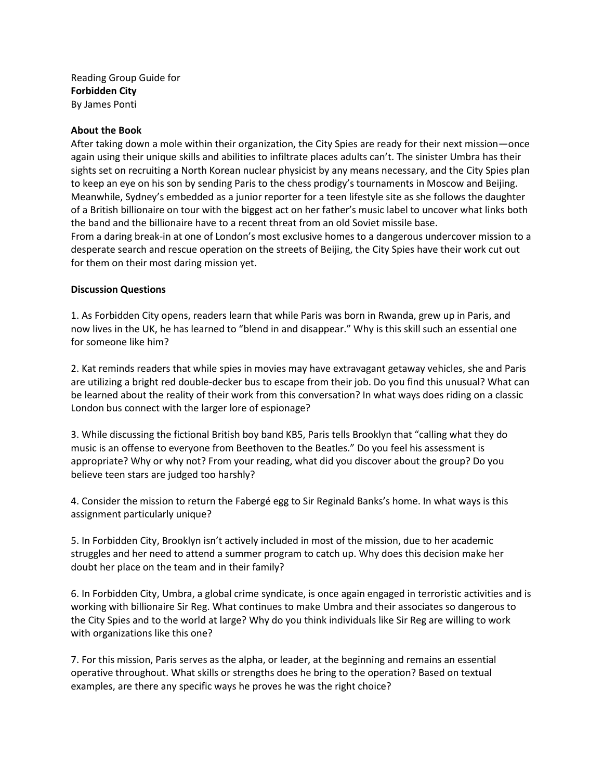Reading Group Guide for **Forbidden City** By James Ponti

## **About the Book**

After taking down a mole within their organization, the City Spies are ready for their next mission—once again using their unique skills and abilities to infiltrate places adults can't. The sinister Umbra has their sights set on recruiting a North Korean nuclear physicist by any means necessary, and the City Spies plan to keep an eye on his son by sending Paris to the chess prodigy's tournaments in Moscow and Beijing. Meanwhile, Sydney's embedded as a junior reporter for a teen lifestyle site as she follows the daughter of a British billionaire on tour with the biggest act on her father's music label to uncover what links both the band and the billionaire have to a recent threat from an old Soviet missile base.

From a daring break-in at one of London's most exclusive homes to a dangerous undercover mission to a desperate search and rescue operation on the streets of Beijing, the City Spies have their work cut out for them on their most daring mission yet.

## **Discussion Questions**

1. As Forbidden City opens, readers learn that while Paris was born in Rwanda, grew up in Paris, and now lives in the UK, he has learned to "blend in and disappear." Why is this skill such an essential one for someone like him?

2. Kat reminds readers that while spies in movies may have extravagant getaway vehicles, she and Paris are utilizing a bright red double-decker bus to escape from their job. Do you find this unusual? What can be learned about the reality of their work from this conversation? In what ways does riding on a classic London bus connect with the larger lore of espionage?

3. While discussing the fictional British boy band KB5, Paris tells Brooklyn that "calling what they do music is an offense to everyone from Beethoven to the Beatles." Do you feel his assessment is appropriate? Why or why not? From your reading, what did you discover about the group? Do you believe teen stars are judged too harshly?

4. Consider the mission to return the Fabergé egg to Sir Reginald Banks's home. In what ways is this assignment particularly unique?

5. In Forbidden City, Brooklyn isn't actively included in most of the mission, due to her academic struggles and her need to attend a summer program to catch up. Why does this decision make her doubt her place on the team and in their family?

6. In Forbidden City, Umbra, a global crime syndicate, is once again engaged in terroristic activities and is working with billionaire Sir Reg. What continues to make Umbra and their associates so dangerous to the City Spies and to the world at large? Why do you think individuals like Sir Reg are willing to work with organizations like this one?

7. For this mission, Paris serves as the alpha, or leader, at the beginning and remains an essential operative throughout. What skills or strengths does he bring to the operation? Based on textual examples, are there any specific ways he proves he was the right choice?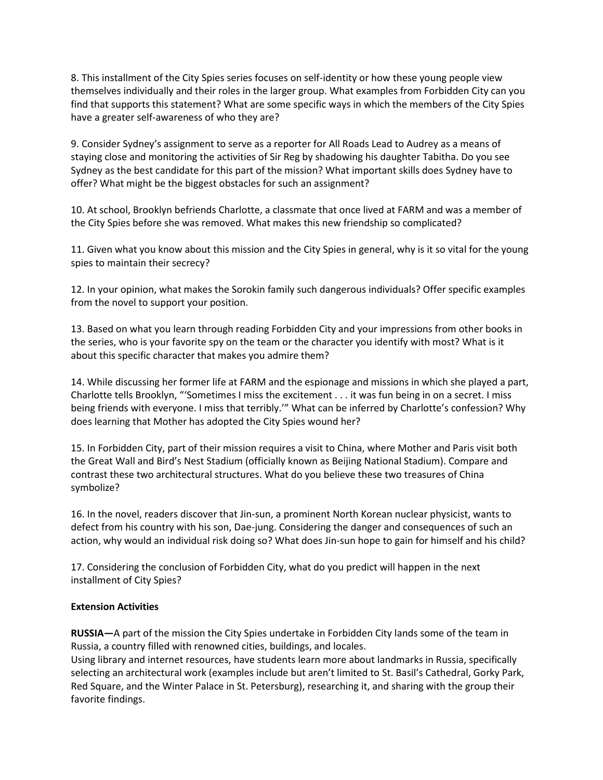8. This installment of the City Spies series focuses on self-identity or how these young people view themselves individually and their roles in the larger group. What examples from Forbidden City can you find that supports this statement? What are some specific ways in which the members of the City Spies have a greater self-awareness of who they are?

9. Consider Sydney's assignment to serve as a reporter for All Roads Lead to Audrey as a means of staying close and monitoring the activities of Sir Reg by shadowing his daughter Tabitha. Do you see Sydney as the best candidate for this part of the mission? What important skills does Sydney have to offer? What might be the biggest obstacles for such an assignment?

10. At school, Brooklyn befriends Charlotte, a classmate that once lived at FARM and was a member of the City Spies before she was removed. What makes this new friendship so complicated?

11. Given what you know about this mission and the City Spies in general, why is it so vital for the young spies to maintain their secrecy?

12. In your opinion, what makes the Sorokin family such dangerous individuals? Offer specific examples from the novel to support your position.

13. Based on what you learn through reading Forbidden City and your impressions from other books in the series, who is your favorite spy on the team or the character you identify with most? What is it about this specific character that makes you admire them?

14. While discussing her former life at FARM and the espionage and missions in which she played a part, Charlotte tells Brooklyn, "'Sometimes I miss the excitement . . . it was fun being in on a secret. I miss being friends with everyone. I miss that terribly.'" What can be inferred by Charlotte's confession? Why does learning that Mother has adopted the City Spies wound her?

15. In Forbidden City, part of their mission requires a visit to China, where Mother and Paris visit both the Great Wall and Bird's Nest Stadium (officially known as Beijing National Stadium). Compare and contrast these two architectural structures. What do you believe these two treasures of China symbolize?

16. In the novel, readers discover that Jin-sun, a prominent North Korean nuclear physicist, wants to defect from his country with his son, Dae-jung. Considering the danger and consequences of such an action, why would an individual risk doing so? What does Jin-sun hope to gain for himself and his child?

17. Considering the conclusion of Forbidden City, what do you predict will happen in the next installment of City Spies?

## **Extension Activities**

**RUSSIA—**A part of the mission the City Spies undertake in Forbidden City lands some of the team in Russia, a country filled with renowned cities, buildings, and locales.

Using library and internet resources, have students learn more about landmarks in Russia, specifically selecting an architectural work (examples include but aren't limited to St. Basil's Cathedral, Gorky Park, Red Square, and the Winter Palace in St. Petersburg), researching it, and sharing with the group their favorite findings.